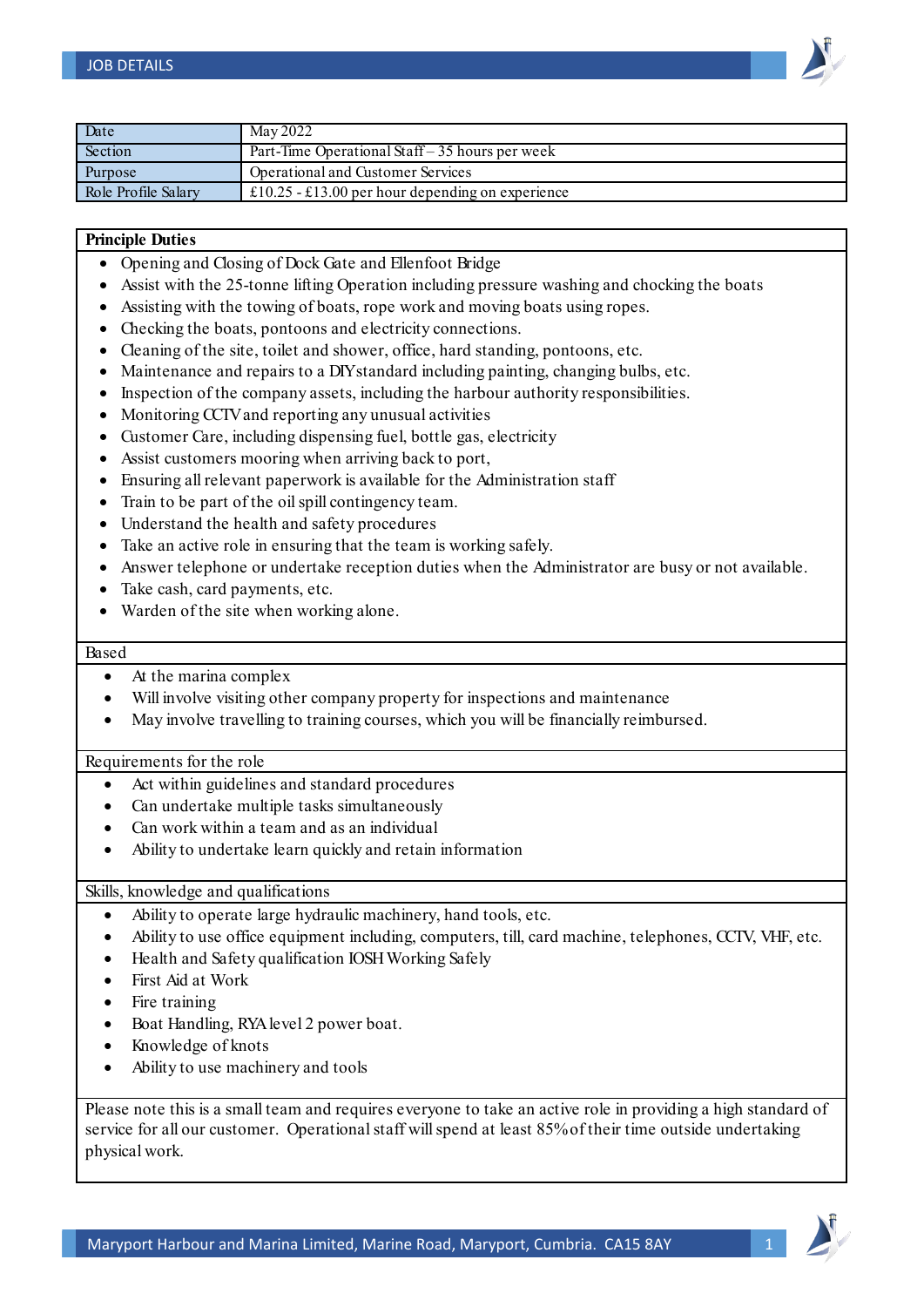

| Date                | May 2022                                         |
|---------------------|--------------------------------------------------|
| Section             | Part-Time Operational Staff $-35$ hours per week |
| Purpose             | Operational and Customer Services                |
| Role Profile Salary | £10.25 - £13.00 per hour depending on experience |

## **Principle Duties**

- Opening and Closing of Dock Gate and Ellenfoot Bridge
- Assist with the 25-tonne lifting Operation including pressure washing and chocking the boats
- Assisting with the towing of boats, rope work and moving boats using ropes.
- Checking the boats, pontoons and electricity connections.
- Cleaning of the site, toilet and shower, office, hard standing, pontoons, etc.
- Maintenance and repairs to a DIY standard including painting, changing bulbs, etc.
- Inspection of the company assets, including the harbour authority responsibilities.
- Monitoring CCTV and reporting any unusual activities
- Customer Care, including dispensing fuel, bottle gas, electricity
- Assist customers mooring when arriving back to port,
- Ensuring all relevant paperwork is available for the Administration staff
- Train to be part of the oil spill contingency team.
- Understand the health and safety procedures
- Take an active role in ensuring that the team is working safely.
- Answer telephone or undertake reception duties when the Administrator are busy or not available.
- Take cash, card payments, etc.
- Warden of the site when working alone.

## Based

- At the marina complex
- Will involve visiting other company property for inspections and maintenance
- May involve travelling to training courses, which you will be financially reimbursed.

## Requirements for the role

- Act within guidelines and standard procedures
- Can undertake multiple tasks simultaneously
- Can work within a team and as an individual
- Ability to undertake learn quickly and retain information

Skills, knowledge and qualifications

- Ability to operate large hydraulic machinery, hand tools, etc.
- Ability to use office equipment including, computers, till, card machine, telephones, CCTV, VHF, etc.
- Health and Safety qualification IOSH Working Safely
- First Aid at Work
- Fire training
- Boat Handling, RYA level 2 power boat.
- Knowledge of knots
- Ability to use machinery and tools

Please note this is a small team and requires everyone to take an active role in providing a high standard of service for all our customer. Operational staff will spend at least 85% of their time outside undertaking physical work.